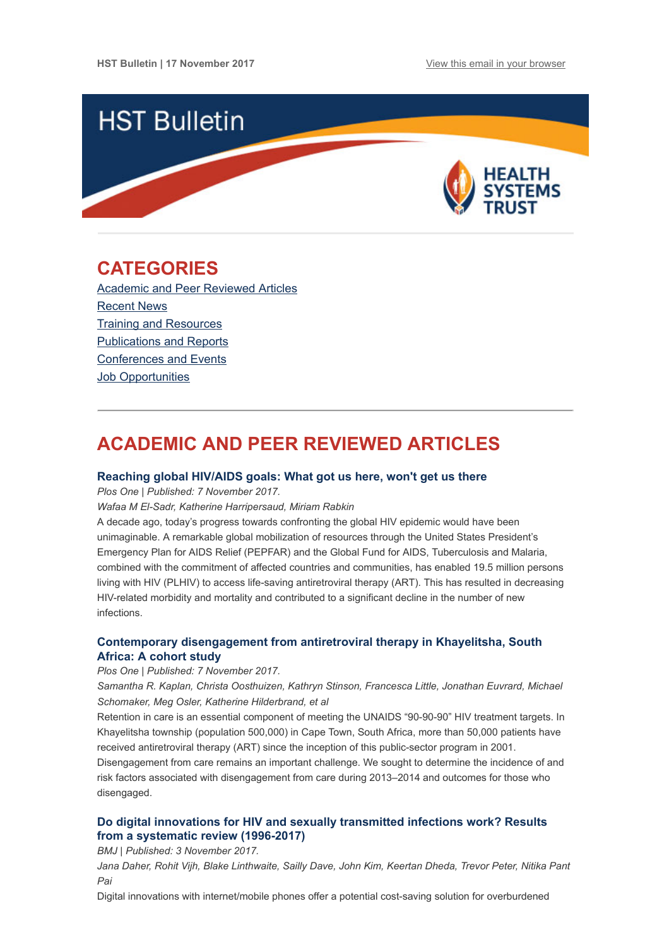

## <span id="page-0-1"></span>CATEGORIES

[Academic and Peer Reviewed Articles](#page-0-0) [Recent News](#page-2-0) [Training and Resources](#page-2-1) [Publications and Reports](#page-3-0) [Conferences and Events](#page-3-1) [Job Opportunities](#page-3-2)

# <span id="page-0-0"></span>ACADEMIC AND PEER REVIEWED ARTICLES

#### [Reaching global HIV/AIDS goals: What got us here, won't get us there](http://journals.plos.org/plosmedicine/article?id=10.1371/journal.pmed.1002421)

Plos One | Published: 7 November 2017.

Wafaa M El-Sadr, Katherine Harripersaud, Miriam Rabkin

A decade ago, today's progress towards confronting the global HIV epidemic would have been unimaginable. A remarkable global mobilization of resources through the United States President's Emergency Plan for AIDS Relief (PEPFAR) and the Global Fund for AIDS, Tuberculosis and Malaria, combined with the commitment of affected countries and communities, has enabled 19.5 million persons living with HIV (PLHIV) to access life-saving antiretroviral therapy (ART). This has resulted in decreasing HIV-related morbidity and mortality and contributed to a significant decline in the number of new infections.

## [Contemporary disengagement from antiretroviral therapy in Khayelitsha, South](http://journals.plos.org/plosmedicine/article?id=10.1371/journal.pmed.1002407) Africa: A cohort study

#### Plos One | Published: 7 November 2017.

Samantha R. Kaplan, Christa Oosthuizen, Kathryn Stinson, Francesca Little, Jonathan Euvrard, Michael Schomaker, Meg Osler, Katherine Hilderbrand, et al

Retention in care is an essential component of meeting the UNAIDS "90-90-90" HIV treatment targets. In Khayelitsha township (population 500,000) in Cape Town, South Africa, more than 50,000 patients have received antiretroviral therapy (ART) since the inception of this public-sector program in 2001. Disengagement from care remains an important challenge. We sought to determine the incidence of and risk factors associated with disengagement from care during 2013–2014 and outcomes for those who disengaged.

## [Do digital innovations for HIV and sexually transmitted infections work? Results](http://bmjopen.bmj.com/content/7/11/e017604) from a systematic review (1996-2017)

BMJ | Published: 3 November 2017.

Jana Daher, Rohit Vijh, Blake Linthwaite, Sailly Dave, John Kim, Keertan Dheda, Trevor Peter, Nitika Pant Pai

Digital innovations with internet/mobile phones offer a potential cost-saving solution for overburdened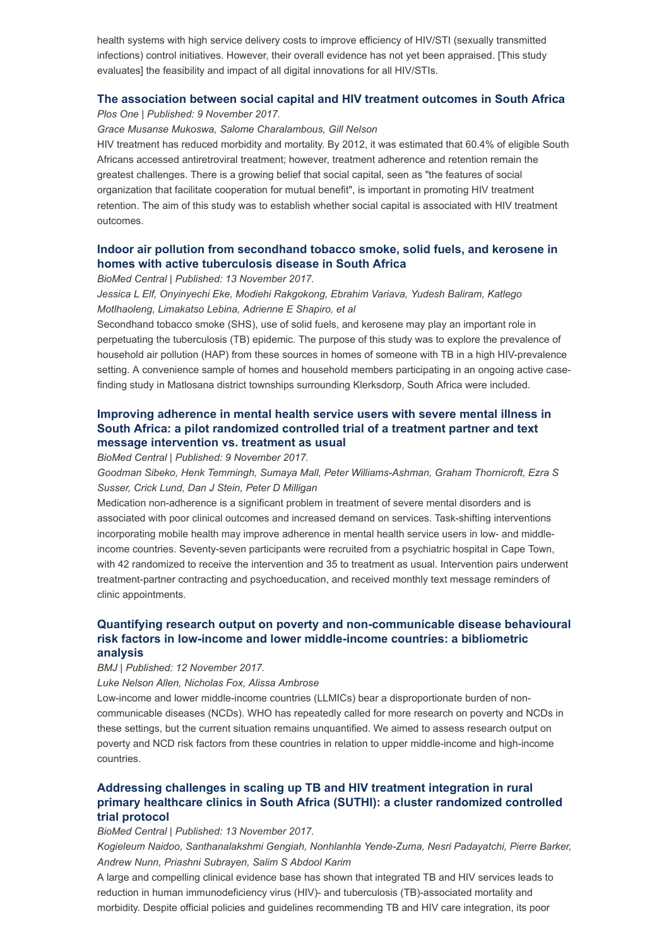health systems with high service delivery costs to improve efficiency of HIV/STI (sexually transmitted infections) control initiatives. However, their overall evidence has not yet been appraised. [This study evaluates] the feasibility and impact of all digital innovations for all HIV/STIs.

#### [The association between social capital and HIV treatment outcomes in South Africa](http://journals.plos.org/plosone/article?id=10.1371/journal.pone.0184140)

Plos One | Published: 9 November 2017.

#### Grace Musanse Mukoswa, Salome Charalambous, Gill Nelson

HIV treatment has reduced morbidity and mortality. By 2012, it was estimated that 60.4% of eligible South Africans accessed antiretroviral treatment; however, treatment adherence and retention remain the greatest challenges. There is a growing belief that social capital, seen as "the features of social organization that facilitate cooperation for mutual benefit", is important in promoting HIV treatment retention. The aim of this study was to establish whether social capital is associated with HIV treatment outcomes.

## [Indoor air pollution from secondhand tobacco smoke, solid fuels, and kerosene in](https://bmcresnotes.biomedcentral.com/articles/10.1186/s13104-017-2892-2) homes with active tuberculosis disease in South Africa

BioMed Central | Published: 13 November 2017.

Jessica L Elf, Onyinyechi Eke, Modiehi Rakgokong, Ebrahim Variava, Yudesh Baliram, Katlego Motlhaoleng, Limakatso Lebina, Adrienne E Shapiro, et al

Secondhand tobacco smoke (SHS), use of solid fuels, and kerosene may play an important role in perpetuating the tuberculosis (TB) epidemic. The purpose of this study was to explore the prevalence of household air pollution (HAP) from these sources in homes of someone with TB in a high HIV-prevalence setting. A convenience sample of homes and household members participating in an ongoing active casefinding study in Matlosana district townships surrounding Klerksdorp, South Africa were included.

## [Improving adherence in mental health service users with severe mental illness in](https://bmcresnotes.biomedcentral.com/articles/10.1186/s13104-017-2915-z) South Africa: a pilot randomized controlled trial of a treatment partner and text message intervention vs. treatment as usual

BioMed Central | Published: 9 November 2017.

Goodman Sibeko, Henk Temmingh, Sumaya Mall, Peter Williams-Ashman, Graham Thornicroft, Ezra S Susser, Crick Lund, Dan J Stein, Peter D Milligan

Medication non-adherence is a significant problem in treatment of severe mental disorders and is associated with poor clinical outcomes and increased demand on services. Task-shifting interventions incorporating mobile health may improve adherence in mental health service users in low- and middleincome countries. Seventy-seven participants were recruited from a psychiatric hospital in Cape Town, with 42 randomized to receive the intervention and 35 to treatment as usual. Intervention pairs underwent treatment-partner contracting and psychoeducation, and received monthly text message reminders of clinic appointments.

## [Quantifying research output on poverty and non-communicable disease behavioural](http://bmjopen.bmj.com/content/7/11/e014715) risk factors in low-income and lower middle-income countries: a bibliometric analysis

BMJ | Published: 12 November 2017.

Luke Nelson Allen, Nicholas Fox, Alissa Ambrose

Low-income and lower middle-income countries (LLMICs) bear a disproportionate burden of noncommunicable diseases (NCDs). WHO has repeatedly called for more research on poverty and NCDs in these settings, but the current situation remains unquantified. We aimed to assess research output on poverty and NCD risk factors from these countries in relation to upper middle-income and high-income countries.

## Addressing challenges in scaling up TB and HIV treatment integration in rural [primary healthcare clinics in South Africa \(SUTHI\): a cluster randomized controlled](https://implementationscience.biomedcentral.com/articles/10.1186/s13012-017-0661-1) trial protocol

BioMed Central | Published: 13 November 2017.

Kogieleum Naidoo, Santhanalakshmi Gengiah, Nonhlanhla Yende-Zuma, Nesri Padayatchi, Pierre Barker, Andrew Nunn, Priashni Subrayen, Salim S Abdool Karim

A large and compelling clinical evidence base has shown that integrated TB and HIV services leads to reduction in human immunodeficiency virus (HIV)- and tuberculosis (TB)-associated mortality and morbidity. Despite official policies and guidelines recommending TB and HIV care integration, its poor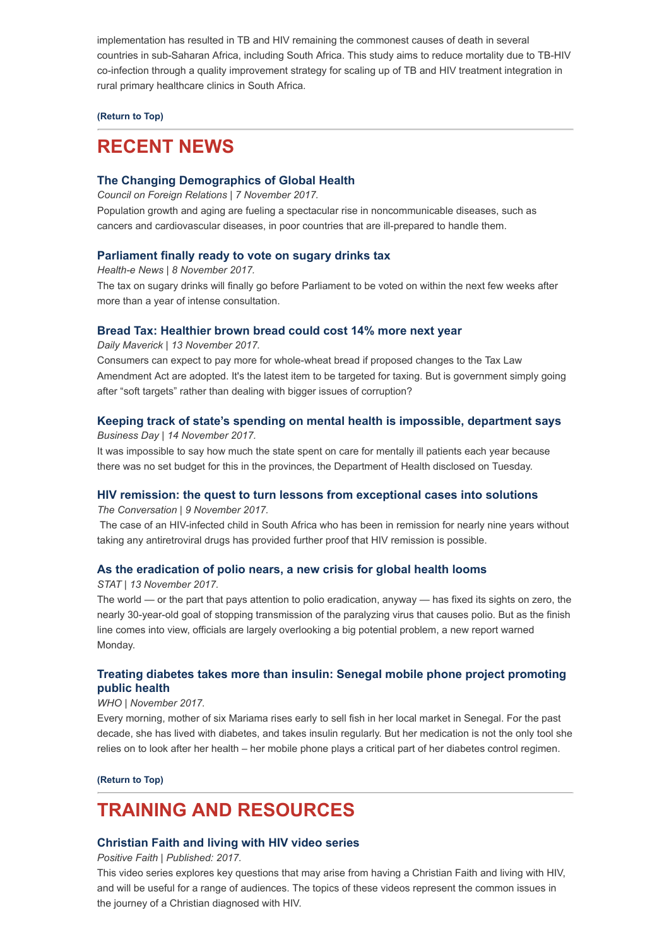implementation has resulted in TB and HIV remaining the commonest causes of death in several countries in sub-Saharan Africa, including South Africa. This study aims to reduce mortality due to TB-HIV co-infection through a quality improvement strategy for scaling up of TB and HIV treatment integration in rural primary healthcare clinics in South Africa.

### [\(Return to Top\)](#page-0-1)

## <span id="page-2-0"></span>RECENT NEWS

## [The Changing Demographics of Global Health](https://www.cfr.org/article/changing-demographics-global-health?utm_source=Global+Health+NOW+Main+List&utm_campaign=7ff26d9def-EMAIL_CAMPAIGN_2017_11_13&utm_medium=email&utm_term=0_8d0d062dbd-7ff26d9def-2811001)

Council on Foreign Relations | 7 November 2017.

Population growth and aging are fueling a spectacular rise in noncommunicable diseases, such as cancers and cardiovascular diseases, in poor countries that are ill-prepared to handle them.

## [Parliament finally ready to vote on sugary drinks tax](https://www.health-e.org.za/2017/11/08/parliament-finally-ready-vote-sugary-drinks-tax/%20%C2%A0)

Health-e News | 8 November 2017.

The tax on sugary drinks will finally go before Parliament to be voted on within the next few weeks after more than a year of intense consultation.

#### [Bread Tax: Healthier brown bread could cost 14% more next year](https://www.dailymaverick.co.za/article/2017-11-13-bread-tax-healthier-brown-bread-could-cost-14-more-next-year/#.WgrWFWiCzIU)

Daily Maverick | 13 November 2017.

Consumers can expect to pay more for whole-wheat bread if proposed changes to the Tax Law Amendment Act are adopted. It's the latest item to be targeted for taxing. But is government simply going after "soft targets" rather than dealing with bigger issues of corruption?

#### [Keeping track of state's spending on mental health is impossible, department says](https://www.businesslive.co.za/bd/national/2017-11-14-keeping-track-of-states-spending-on-mental-health-is-impossible-department-says/)

Business Day | 14 November 2017.

It was impossible to say how much the state spent on care for mentally ill patients each year because there was no set budget for this in the provinces, the Department of Health disclosed on Tuesday.

#### [HIV remission: the quest to turn lessons from exceptional cases into solutions](https://theconversation.com/hiv-remission-the-quest-to-turn-lessons-from-exceptional-cases-into-solutions-86787)

The Conversation | 9 November 2017.

The case of an HIV-infected child in South Africa who has been in remission for nearly nine years without taking any antiretroviral drugs has provided further proof that HIV remission is possible.

#### [As the eradication of polio nears, a new crisis for global health looms](https://www.statnews.com/2017/11/13/polio-eradiction-who-funding/?utm_source=Global+Health+NOW+Main+List&utm_campaign=7ff26d9def-EMAIL_CAMPAIGN_2017_11_13&utm_medium=email&utm_term=0_8d0d062dbd-7ff26d9def-2811001)

#### STAT | 13 November 2017.

The world — or the part that pays attention to polio eradication, anyway — has fixed its sights on zero, the nearly 30-year-old goal of stopping transmission of the paralyzing virus that causes polio. But as the finish line comes into view, officials are largely overlooking a big potential problem, a new report warned Monday.

## [Treating diabetes takes more than insulin: Senegal mobile phone project promoting](http://www.who.int/features/2017/senegal-mobile-diabetes/en/) public health

#### WHO | November 2017.

Every morning, mother of six Mariama rises early to sell fish in her local market in Senegal. For the past decade, she has lived with diabetes, and takes insulin regularly. But her medication is not the only tool she relies on to look after her health – her mobile phone plays a critical part of her diabetes control regimen.

[\(Return to Top\)](#page-0-1)

# <span id="page-2-1"></span>TRAINING AND RESOURCES

### [Christian Faith and living with HIV video series](http://www.positivefaith.net/hiv-and-faith-matters.html)

Positive Faith | Published: 2017.

This video series explores key questions that may arise from having a Christian Faith and living with HIV, and will be useful for a range of audiences. The topics of these videos represent the common issues in the journey of a Christian diagnosed with HIV.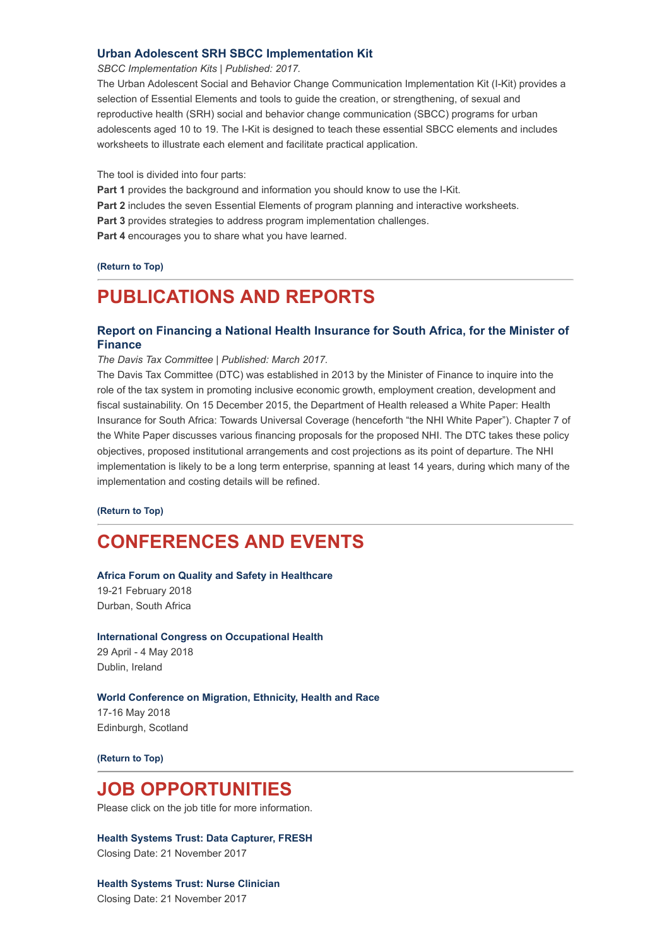### [Urban Adolescent SRH SBCC Implementation Kit](https://sbccimplementationkits.org/urban-youth/)

SBCC Implementation Kits | Published: 2017.

The Urban Adolescent Social and Behavior Change Communication Implementation Kit (I-Kit) provides a selection of Essential Elements and tools to guide the creation, or strengthening, of sexual and reproductive health (SRH) social and behavior change communication (SBCC) programs for urban adolescents aged 10 to 19. The I-Kit is designed to teach these essential SBCC elements and includes worksheets to illustrate each element and facilitate practical application.

The tool is divided into four parts:

Part 1 provides the background and information you should know to use the I-Kit.

Part 2 includes the seven Essential Elements of program planning and interactive worksheets.

Part 3 provides strategies to address program implementation challenges.

Part 4 encourages you to share what you have learned.

[\(Return to Top\)](#page-0-1)

## <span id="page-3-0"></span>PUBLICATIONS AND REPORTS

## [Report on Financing a National Health Insurance for South Africa, for the Minister of](http://www.taxcom.org.za/docs/20171113%20Financing%20a%20NHI%20for%20SA%20-%20on%20website.pdf) Finance

The Davis Tax Committee | Published: March 2017.

The Davis Tax Committee (DTC) was established in 2013 by the Minister of Finance to inquire into the role of the tax system in promoting inclusive economic growth, employment creation, development and fiscal sustainability. On 15 December 2015, the Department of Health released a White Paper: Health Insurance for South Africa: Towards Universal Coverage (henceforth "the NHI White Paper"). Chapter 7 of the White Paper discusses various financing proposals for the proposed NHI. The DTC takes these policy objectives, proposed institutional arrangements and cost projections as its point of departure. The NHI implementation is likely to be a long term enterprise, spanning at least 14 years, during which many of the implementation and costing details will be refined.

[\(Return to Top\)](#page-0-1)

# <span id="page-3-1"></span>CONFERENCES AND EVENTS

#### [Africa Forum on Quality and Safety in Healthcare](http://www.ihi.org/education/Conferences/AfricaForum/Pages/default.aspx)

19-21 February 2018 Durban, South Africa

[International Congress on Occupational Health](http://icoh2018.org/wp/) 29 April - 4 May 2018 Dublin, Ireland

#### [World Conference on Migration, Ethnicity, Health and Race](http://www.merhcongress.com/)

17-16 May 2018 Edinburgh, Scotland

[\(Return to Top\)](#page-0-1)

## <span id="page-3-2"></span>JOB OPPORTUNITIES

Please click on the job title for more information.

[Health Systems Trust: Data Capturer, FRESH](http://www.hst.org.za/Pages/FRESH-Data-Capturer.aspx) Closing Date: 21 November 2017

[Health Systems Trust: Nurse Clinician](http://www.hst.org.za/Pages/NurseClinician.aspx) Closing Date: 21 November 2017